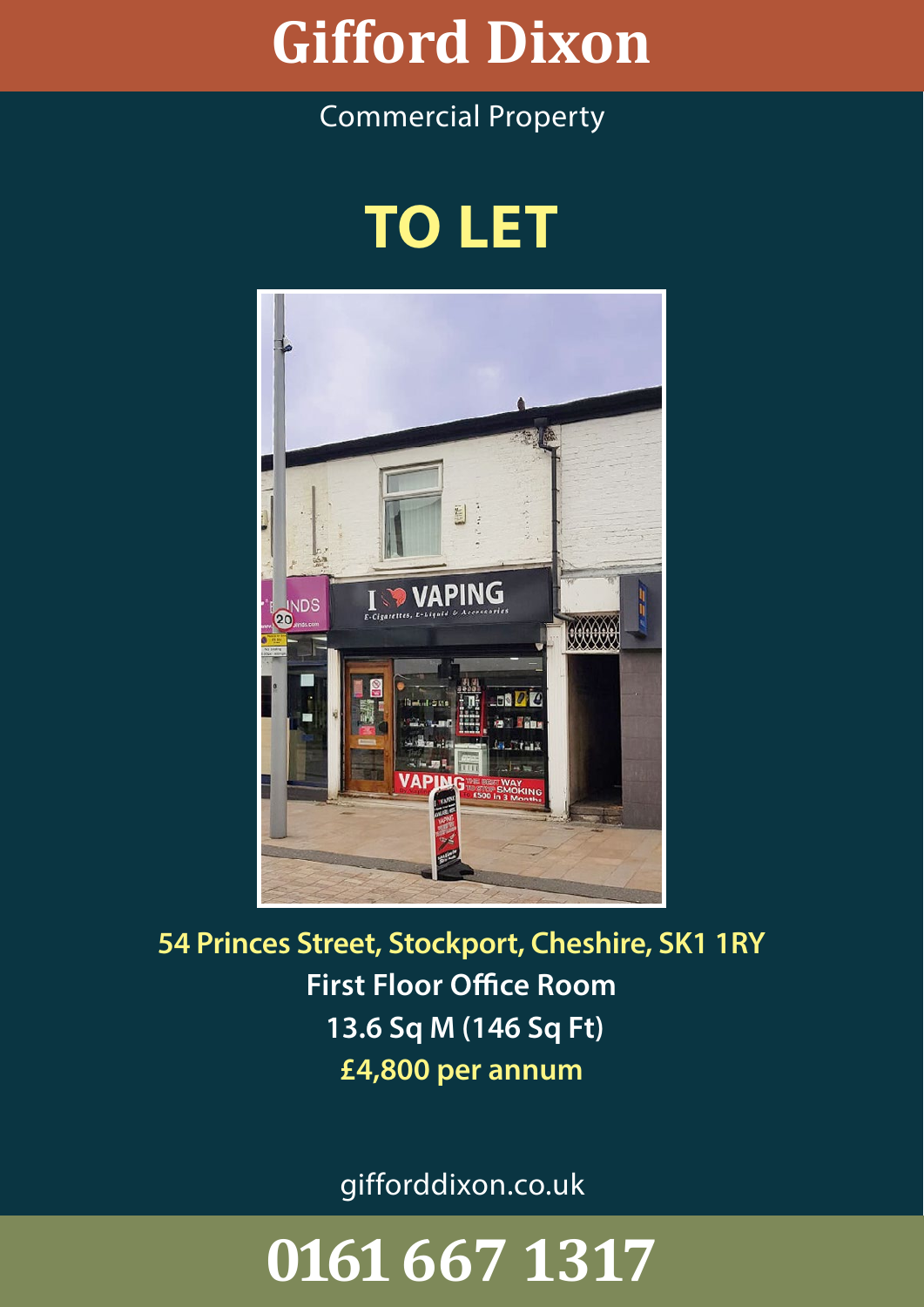### W **Gifford Dixon**

## Commercial Property

## **TO LET**



**54 Princes Street, Stockport, Cheshire, SK1 1RY First Floor Office Room 13.6 Sq M (146 Sq Ft) £4,800 per annum**

gifforddixon.co.uk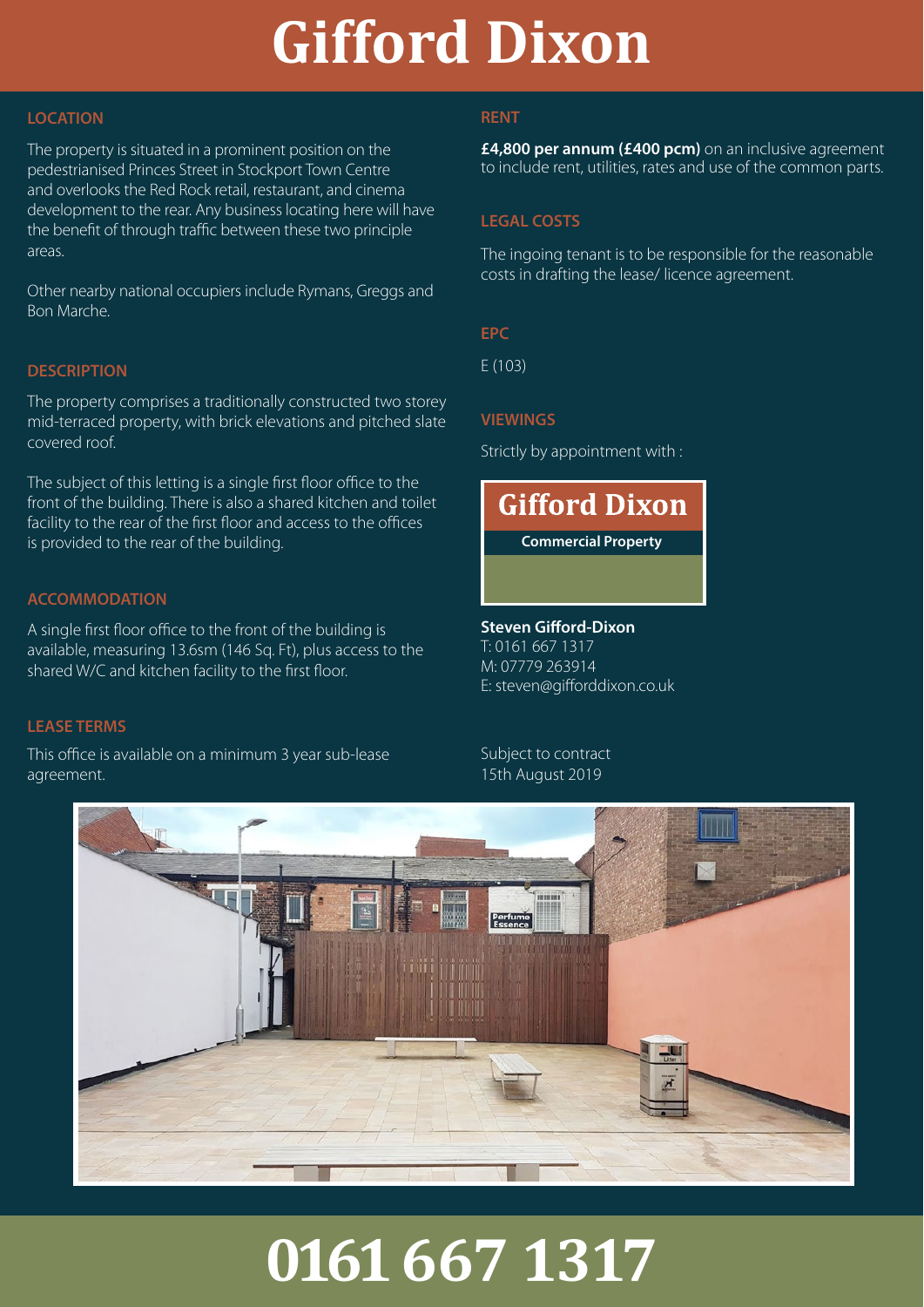### W **Gifford Dixon**

#### **LOCATION**

The property is situated in a prominent position on the pedestrianised Princes Street in Stockport Town Centre and overlooks the Red Rock retail, restaurant, and cinema development to the rear. Any business locating here will have the benefit of through traffic between these two principle areas.

Other nearby national occupiers include Rymans, Greggs and Bon Marche.

#### **DESCRIPTION**

The property comprises a traditionally constructed two storey mid-terraced property, with brick elevations and pitched slate covered roof.

The subject of this letting is a single first floor office to the front of the building. There is also a shared kitchen and toilet facility to the rear of the first floor and access to the offices is provided to the rear of the building.

#### **ACCOMMODATION**

A single first floor office to the front of the building is available, measuring 13.6sm (146 Sq. Ft), plus access to the shared W/C and kitchen facility to the first floor.

#### **LEASE TERMS**

This office is available on a minimum 3 year sub-lease agreement.

#### **RENT**

**£4,800 per annum (£400 pcm)** on an inclusive agreement to include rent, utilities, rates and use of the common parts.

#### **LEGAL COSTS**

The ingoing tenant is to be responsible for the reasonable costs in drafting the lease/ licence agreement.

**EPC**

E (103)

#### **VIEWINGS**

Strictly by appointment with :

## **Gifford Dixon**

**Commercial Property**

**Steven Gifford-Dixon** T: 0161 667 1317

M: 07779 263914 E: steven@gifforddixon.co.uk

Subject to contract 15th August 2019

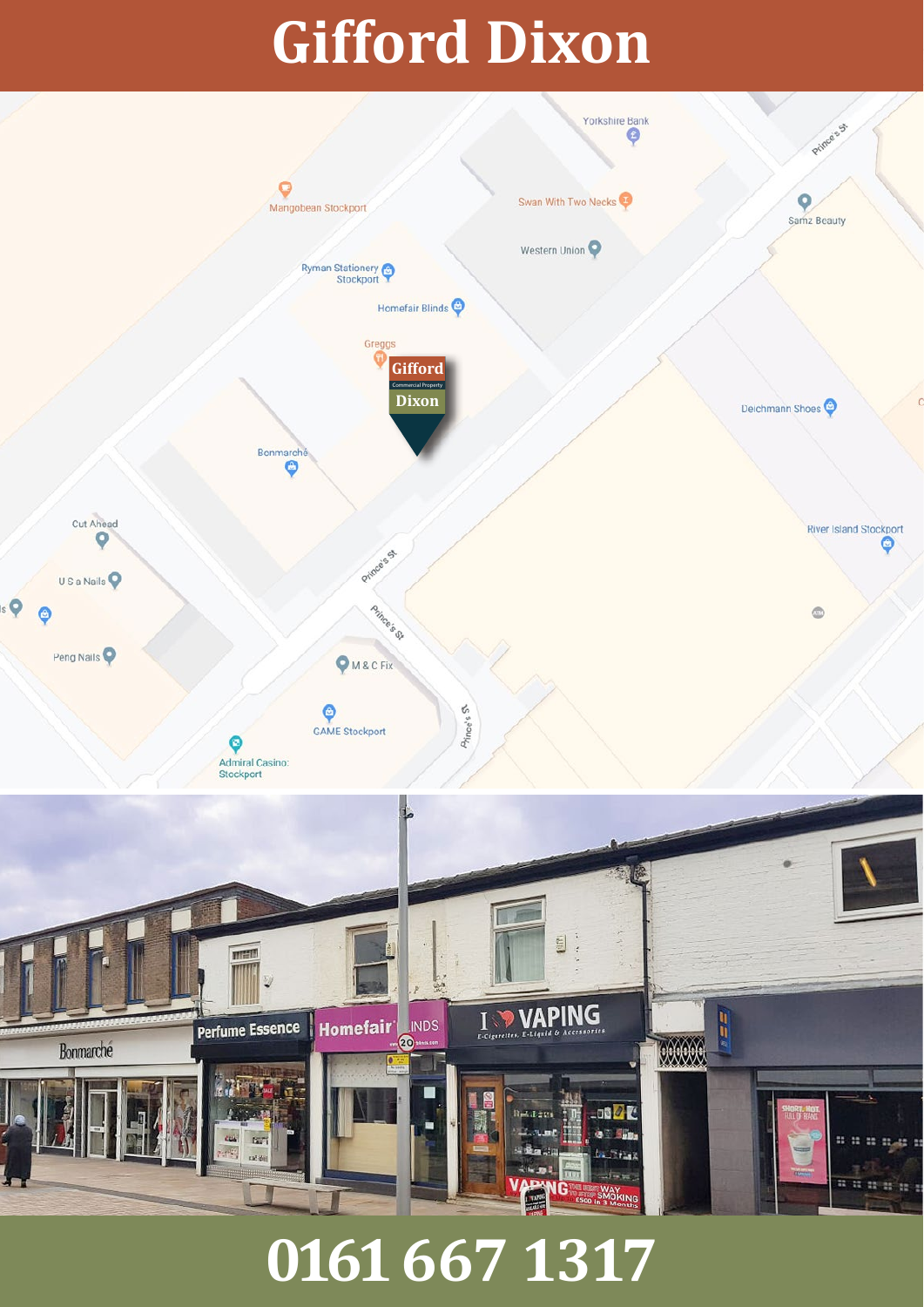# **Gifford Dixon**